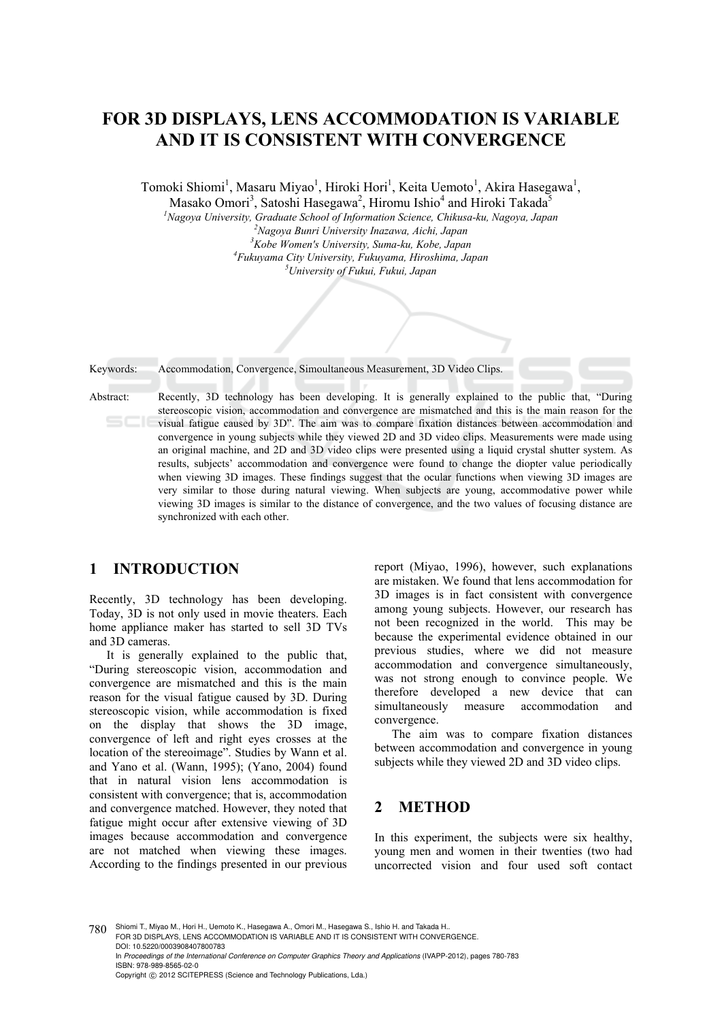# **FOR 3D DISPLAYS, LENS ACCOMMODATION IS VARIABLE AND IT IS CONSISTENT WITH CONVERGENCE**

Tomoki Shiomi<sup>1</sup>, Masaru Miyao<sup>1</sup>, Hiroki Hori<sup>1</sup>, Keita Uemoto<sup>1</sup>, Akira Hasegawa<sup>1</sup>,

Masako Omori<sup>3</sup>, Satoshi Hasegawa<sup>2</sup>, Hiromu Ishio<sup>4</sup> and Hiroki Takada<sup>5</sup>

<sup>1</sup> Nagoya University, Graduate School of Information Science, Chikusa-ku, Nagoya, Japan <sup>2</sup> Nagoya, <sup>2</sup> Nagoya, <sup>2</sup>

*Nagoya Bunri University Inazawa, Aichi, Japan 3 Kobe Women's University, Suma-ku, Kobe, Japan 4 Fukuyama City University, Fukuyama, Hiroshima, Japan 5 University of Fukui, Fukui, Japan* 

Keywords: Accommodation, Convergence, Simoultaneous Measurement, 3D Video Clips.

Abstract: Recently, 3D technology has been developing. It is generally explained to the public that, "During stereoscopic vision, accommodation and convergence are mismatched and this is the main reason for the visual fatigue caused by 3D". The aim was to compare fixation distances between accommodation and convergence in young subjects while they viewed 2D and 3D video clips. Measurements were made using an original machine, and 2D and 3D video clips were presented using a liquid crystal shutter system. As results, subjects' accommodation and convergence were found to change the diopter value periodically when viewing 3D images. These findings suggest that the ocular functions when viewing 3D images are very similar to those during natural viewing. When subjects are young, accommodative power while viewing 3D images is similar to the distance of convergence, and the two values of focusing distance are synchronized with each other.

# **1 INTRODUCTION**

Recently, 3D technology has been developing. Today, 3D is not only used in movie theaters. Each home appliance maker has started to sell 3D TVs and 3D cameras.

It is generally explained to the public that, "During stereoscopic vision, accommodation and convergence are mismatched and this is the main reason for the visual fatigue caused by 3D. During stereoscopic vision, while accommodation is fixed on the display that shows the 3D image, convergence of left and right eyes crosses at the location of the stereoimage". Studies by Wann et al. and Yano et al. (Wann, 1995); (Yano, 2004) found that in natural vision lens accommodation is consistent with convergence; that is, accommodation and convergence matched. However, they noted that fatigue might occur after extensive viewing of 3D images because accommodation and convergence are not matched when viewing these images. According to the findings presented in our previous

report (Miyao, 1996), however, such explanations are mistaken. We found that lens accommodation for 3D images is in fact consistent with convergence among young subjects. However, our research has not been recognized in the world. This may be because the experimental evidence obtained in our previous studies, where we did not measure accommodation and convergence simultaneously, was not strong enough to convince people. We therefore developed a new device that can simultaneously measure accommodation and convergence.

The aim was to compare fixation distances between accommodation and convergence in young subjects while they viewed 2D and 3D video clips.

# **2 METHOD**

In this experiment, the subjects were six healthy, young men and women in their twenties (two had uncorrected vision and four used soft contact

780 Shiomi T., Miyao M., Hori H., Uemoto K., Hasegawa A., Omori M., Hasegawa S., Ishio H. and Takada H.. FOR 3D DISPLAYS, LENS ACCOMMODATION IS VARIABLE AND IT IS CONSISTENT WITH CONVERGENCE. DOI: 10.5220/0003908407800783 In *Proceedings of the International Conference on Computer Graphics Theory and Applications* (IVAPP-2012), pages 780-783 ISBN: 978-989-8565-02-0 Copyright © 2012 SCITEPRESS (Science and Technology Publications, Lda.)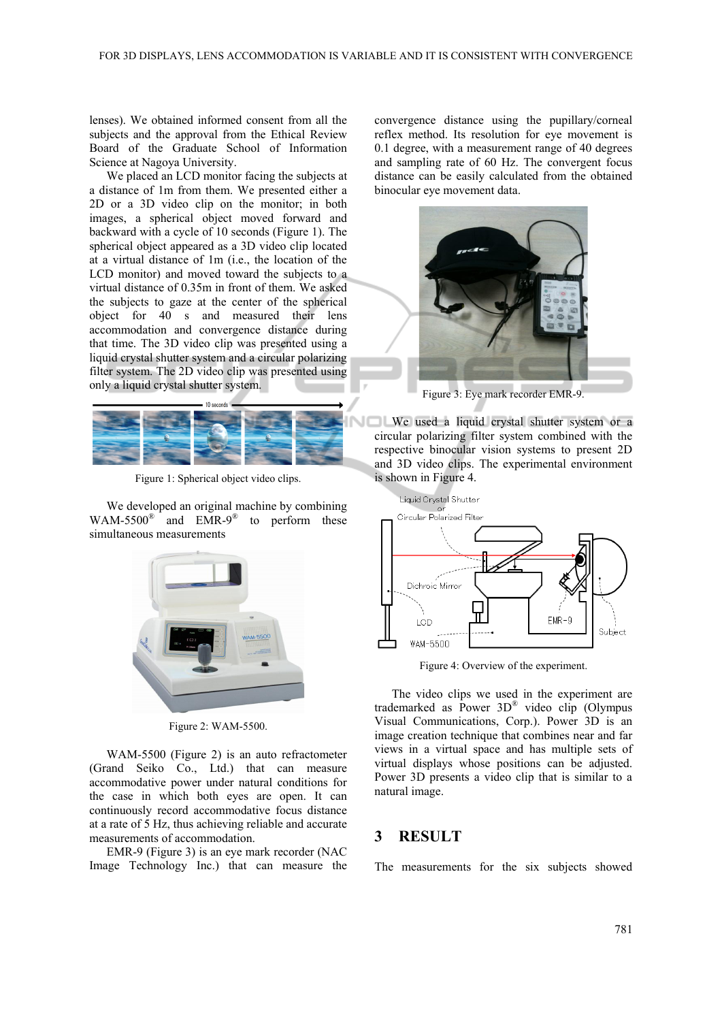lenses). We obtained informed consent from all the subjects and the approval from the Ethical Review Board of the Graduate School of Information Science at Nagoya University.

We placed an LCD monitor facing the subjects at a distance of 1m from them. We presented either a 2D or a 3D video clip on the monitor; in both images, a spherical object moved forward and backward with a cycle of 10 seconds (Figure 1). The spherical object appeared as a 3D video clip located at a virtual distance of 1m (i.e., the location of the LCD monitor) and moved toward the subjects to a virtual distance of 0.35m in front of them. We asked the subjects to gaze at the center of the spherical object for 40 s and measured their lens accommodation and convergence distance during that time. The 3D video clip was presented using a liquid crystal shutter system and a circular polarizing filter system. The 2D video clip was presented using only a liquid crystal shutter system.



Figure 1: Spherical object video clips.

We developed an original machine by combining WAM-5500 $^{\circ}$  and EMR-9 $^{\circ}$  to perform these simultaneous measurements



Figure 2: WAM-5500.

WAM-5500 (Figure 2) is an auto refractometer (Grand Seiko Co., Ltd.) that can measure accommodative power under natural conditions for the case in which both eyes are open. It can continuously record accommodative focus distance at a rate of 5 Hz, thus achieving reliable and accurate measurements of accommodation.

EMR-9 (Figure 3) is an eye mark recorder (NAC Image Technology Inc.) that can measure the convergence distance using the pupillary/corneal reflex method. Its resolution for eye movement is 0.1 degree, with a measurement range of 40 degrees and sampling rate of 60 Hz. The convergent focus distance can be easily calculated from the obtained binocular eye movement data.



Figure 3: Eye mark recorder EMR-9.

We used a liquid crystal shutter system or a circular polarizing filter system combined with the respective binocular vision systems to present 2D and 3D video clips. The experimental environment is shown in Figure 4.



Figure 4: Overview of the experiment.

The video clips we used in the experiment are trademarked as Power 3D® video clip (Olympus Visual Communications, Corp.). Power 3D is an image creation technique that combines near and far views in a virtual space and has multiple sets of virtual displays whose positions can be adjusted. Power 3D presents a video clip that is similar to a natural image.

### **3 RESULT**

The measurements for the six subjects showed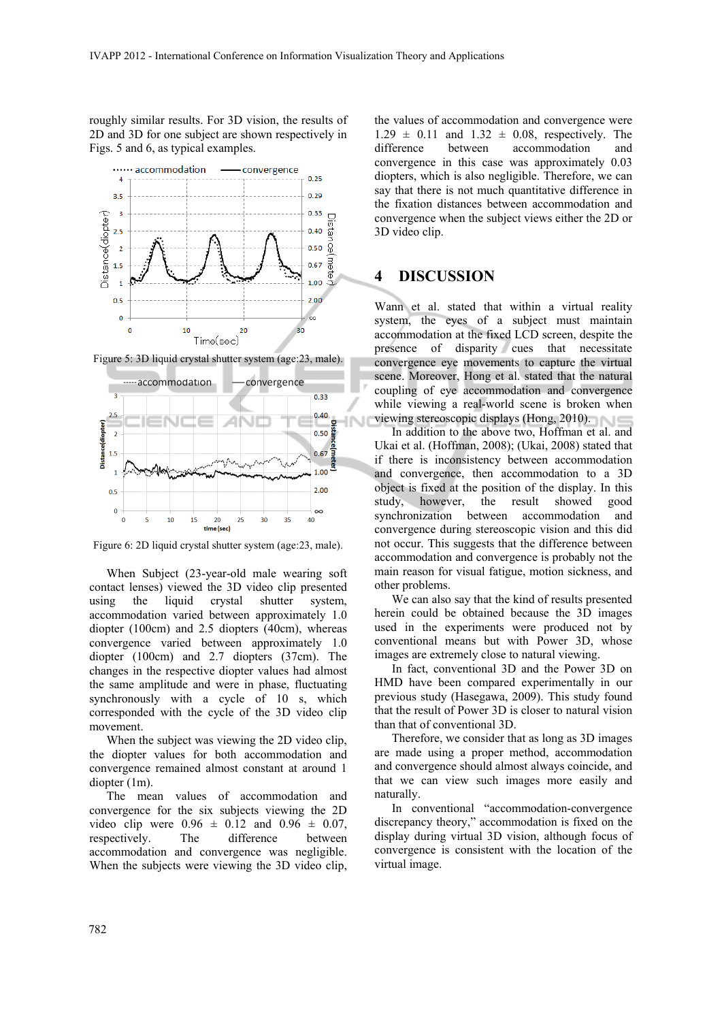roughly similar results. For 3D vision, the results of 2D and 3D for one subject are shown respectively in Figs. 5 and 6, as typical examples.



Figure 5: 3D liquid crystal shutter system (age:23, male).



Figure 6: 2D liquid crystal shutter system (age:23, male).

When Subject (23-year-old male wearing soft contact lenses) viewed the 3D video clip presented using the liquid crystal shutter system, accommodation varied between approximately 1.0 diopter (100cm) and 2.5 diopters (40cm), whereas convergence varied between approximately 1.0 diopter (100cm) and 2.7 diopters (37cm). The changes in the respective diopter values had almost the same amplitude and were in phase, fluctuating synchronously with a cycle of 10 s, which corresponded with the cycle of the 3D video clip movement.

When the subject was viewing the 2D video clip, the diopter values for both accommodation and convergence remained almost constant at around 1 diopter (1m).

The mean values of accommodation and convergence for the six subjects viewing the 2D video clip were  $0.96 \pm 0.12$  and  $0.96 \pm 0.07$ , respectively. The difference between accommodation and convergence was negligible. When the subjects were viewing the 3D video clip,

the values of accommodation and convergence were  $1.29 \pm 0.11$  and  $1.32 \pm 0.08$ , respectively. The difference between accommodation and convergence in this case was approximately 0.03 diopters, which is also negligible. Therefore, we can say that there is not much quantitative difference in the fixation distances between accommodation and convergence when the subject views either the 2D or 3D video clip.

### **4 DISCUSSION**

Wann et al. stated that within a virtual reality system, the eyes of a subject must maintain accommodation at the fixed LCD screen, despite the presence of disparity cues that necessitate convergence eye movements to capture the virtual scene. Moreover, Hong et al. stated that the natural coupling of eye accommodation and convergence while viewing a real-world scene is broken when viewing stereoscopic displays (Hong, 2010).

In addition to the above two, Hoffman et al. and Ukai et al. (Hoffman, 2008); (Ukai, 2008) stated that if there is inconsistency between accommodation and convergence, then accommodation to a 3D object is fixed at the position of the display. In this study, however, the result showed good synchronization between accommodation and convergence during stereoscopic vision and this did not occur. This suggests that the difference between accommodation and convergence is probably not the main reason for visual fatigue, motion sickness, and other problems.

We can also say that the kind of results presented herein could be obtained because the 3D images used in the experiments were produced not by conventional means but with Power 3D, whose images are extremely close to natural viewing.

In fact, conventional 3D and the Power 3D on HMD have been compared experimentally in our previous study (Hasegawa, 2009). This study found that the result of Power 3D is closer to natural vision than that of conventional 3D.

Therefore, we consider that as long as 3D images are made using a proper method, accommodation and convergence should almost always coincide, and that we can view such images more easily and naturally.

In conventional "accommodation-convergence discrepancy theory," accommodation is fixed on the display during virtual 3D vision, although focus of convergence is consistent with the location of the virtual image.